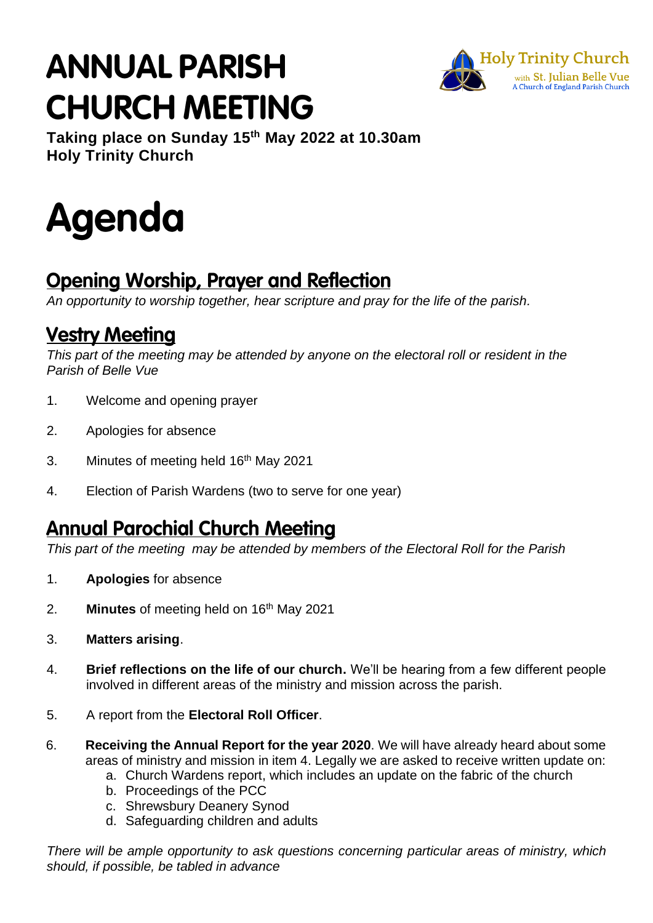## **ANNUAL PARISH CHURCH MEETING**



**Taking place on Sunday 15 th May 2022 at 10.30am Holy Trinity Church**

# Agenda

## **Opening Worship, Prayer and Reflection**

*An opportunity to worship together, hear scripture and pray for the life of the parish.*

## **Vestry Meeting**

*This part of the meeting may be attended by anyone on the electoral roll or resident in the Parish of Belle Vue*

- 1. Welcome and opening prayer
- 2. Apologies for absence
- 3. Minutes of meeting held 16<sup>th</sup> May 2021
- 4. Election of Parish Wardens (two to serve for one year)

## **Annual Parochial Church Meeting**

*This part of the meeting may be attended by members of the Electoral Roll for the Parish*

- 1. **Apologies** for absence
- 2. **Minutes** of meeting held on 16<sup>th</sup> May 2021
- 3. **Matters arising**.
- 4. **Brief reflections on the life of our church.** We'll be hearing from a few different people involved in different areas of the ministry and mission across the parish.
- 5. A report from the **Electoral Roll Officer**.
- 6. **Receiving the Annual Report for the year 2020**. We will have already heard about some areas of ministry and mission in item 4. Legally we are asked to receive written update on:
	- a. Church Wardens report, which includes an update on the fabric of the church
	- b. Proceedings of the PCC
	- c. Shrewsbury Deanery Synod
	- d. Safeguarding children and adults

*There will be ample opportunity to ask questions concerning particular areas of ministry, which should, if possible, be tabled in advance*